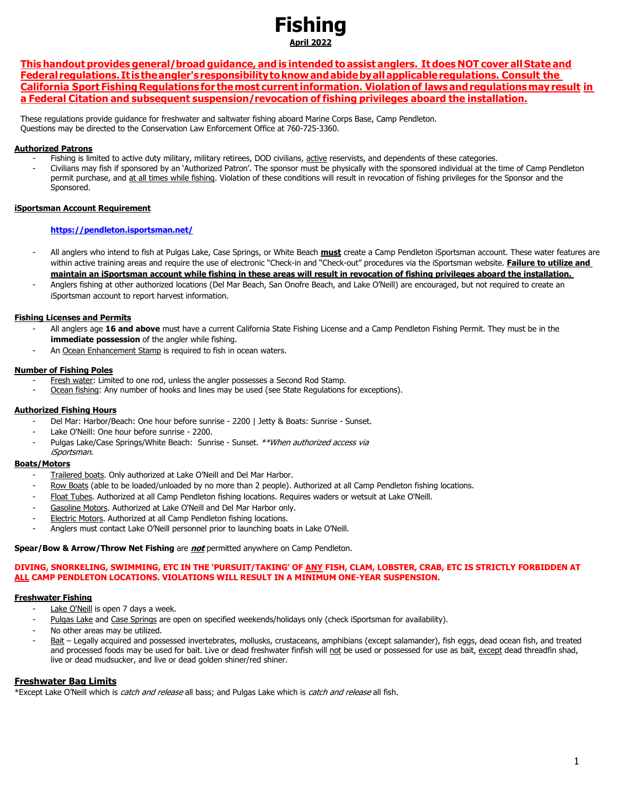# **Fishing April 2022**

This handout provides general/broad guidance, and is intended to assist anglers. It does NOT cover all State and **Federal regulations. It is theangler's responsibilitytoknowandabidebyallapplicableregulations. Consult the California Sport Fishing Regulations for themost current information. Violation of lawsandregulationsmay result in a Federal Citation and subsequent suspension/revocation of fishing privileges aboard the installation.**

These regulations provide guidance for freshwater and saltwater fishing aboard Marine Corps Base, Camp Pendleton. Questions may be directed to the Conservation Law Enforcement Office at 760-725-3360.

## **Authorized Patrons**

- Fishing is limited to active duty military, military retirees, DOD civilians, active reservists, and dependents of these categories.
- Civilians may fish if sponsored by an 'Authorized Patron'. The sponsor must be physically with the sponsored individual at the time of Camp Pendleton permit purchase, and at all times while fishing. Violation of these conditions will result in revocation of fishing privileges for the Sponsor and the Sponsored.

## **iSportsman Account Requirement**

## **<https://pendleton.isportsman.net/>**

- All anglers who intend to fish at Pulgas Lake, Case Springs, or White Beach **must** create a Camp Pendleton iSportsman account. These water features are within active training areas and require the use of electronic "Check-in and "Check-out" procedures via the iSportsman website. **Failure to utilize and maintain an iSportsman account while fishing in these areas will result in revocation of fishing privileges aboard the installation.**
- Anglers fishing at other authorized locations (Del Mar Beach, San Onofre Beach, and Lake O'Neill) are encouraged, but not required to create an iSportsman account to report harvest information.

## **Fishing Licenses and Permits**

- All anglers age **16 and above** must have a current California State Fishing License and a Camp Pendleton Fishing Permit. They must be in the **immediate possession** of the angler while fishing.
- An Ocean Enhancement Stamp is required to fish in ocean waters.

## **Number of Fishing Poles**

- Fresh water: Limited to one rod, unless the angler possesses a Second Rod Stamp.
- Ocean fishing: Any number of hooks and lines may be used (see State Regulations for exceptions).

## **Authorized Fishing Hours**

- Del Mar: Harbor/Beach: One hour before sunrise 2200 | Jetty & Boats: Sunrise Sunset.
- Lake O'Neill: One hour before sunrise 2200.
- Pulgas Lake/Case Springs/White Beach: Sunrise Sunset. \*\*When authorized access via iSportsman.

## **Boats/Motors**

- Trailered boats. Only authorized at Lake O'Neill and Del Mar Harbor.
- Row Boats (able to be loaded/unloaded by no more than 2 people). Authorized at all Camp Pendleton fishing locations.
- Float Tubes. Authorized at all Camp Pendleton fishing locations. Requires waders or wetsuit at Lake O'Neill.
- Gasoline Motors. Authorized at Lake O'Neill and Del Mar Harbor only.
- Electric Motors. Authorized at all Camp Pendleton fishing locations.
- Anglers must contact Lake O'Neill personnel prior to launching boats in Lake O'Neill.

#### **Spear/Bow & Arrow/Throw Net Fishing** are **not** permitted anywhere on Camp Pendleton.

#### **DIVING, SNORKELING, SWIMMING, ETC IN THE 'PURSUIT/TAKING' OF ANY FISH, CLAM, LOBSTER, CRAB, ETC IS STRICTLY FORBIDDEN AT ALL CAMP PENDLETON LOCATIONS. VIOLATIONS WILL RESULT IN A MINIMUM ONE-YEAR SUSPENSION.**

## **Freshwater Fishing**

- Lake O'Neill is open 7 days a week.
- Pulgas Lake and Case Springs are open on specified weekends/holidays only (check iSportsman for availability).
- No other areas may be utilized.
- Bait Legally acquired and possessed invertebrates, mollusks, crustaceans, amphibians (except salamander), fish eggs, dead ocean fish, and treated and processed foods may be used for bait. Live or dead freshwater finfish will not be used or possessed for use as bait, except dead threadfin shad, live or dead mudsucker, and live or dead golden shiner/red shiner.

## **Freshwater Bag Limits**

\*Except Lake O'Neill which is *catch and release* all bass; and Pulgas Lake which is *catch and release* all fish.